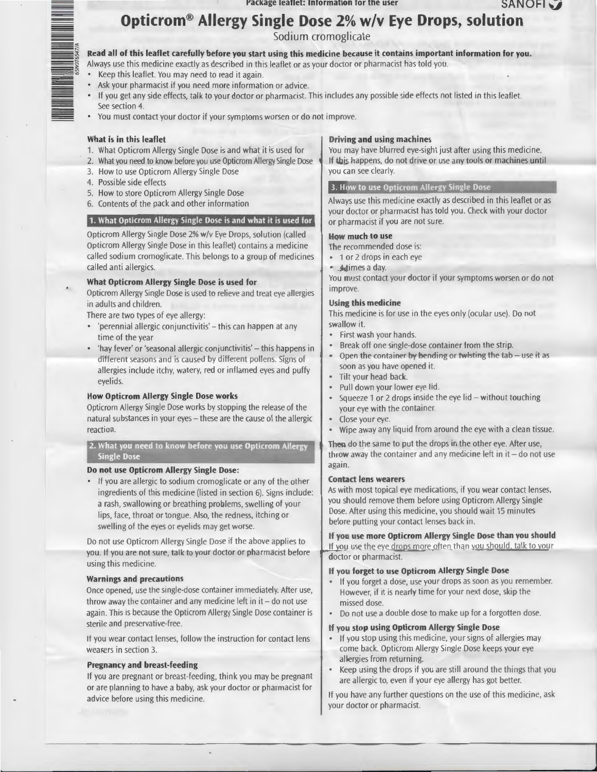# **Opticrom® Allergy Single Dose 2% w/v Eye Drops, solution**

Sodium cromoglicate

#### **Read all of this leaflet carefully before you start using this medicine because it contains important information for you.**

- Always use this medicine exactly as described in this leaflet or as your doctor or pharmacist has told you.
- Keep this leaflet. You may need to read it again.
- Ask your pharmacist if you need more information or advice.
- If you get any side effects, talk to your doctor or pharmacist. This includes any possible side effects not listed in this leaflet. See section 4.
- You must contact your doctor if your symptoms worsen or do not improve.

#### **What is in this leaflet**

<sup>~</sup>  $\overline{0}$  $\vdots$ 

- 1. What Opticrom Allergy Single Dose is and what it is used for
- 2. What you need to know before you use Opticrom Allergy Single Dose
- 3. How to use Opticrom Allergy Single Dose
- 4. Possible side effects
- 5. How to store Opticrom Allergy Single Dose
- 6. Contents of the pack and other information

#### **1. What Opticrom Allergy Single Dose is and what it is used for**

Opticrom Allergy Single Dose 2% w/v Eye Drops, solution (called Opticrom Allergy Single Dose in this leaflet) contains a medicine called sodium cromoglicate. This belongs to a group of medicines called anti allergics.

#### **What Opticrom Allergy Single Dose is used for**

Opticrom Allergy Single Dose is used to relieve and treat eye allergies in adults and children.

There are two types of eye allergy:

- 'perennial allergic conjunctivitis' this can happen at any time of the year
- 'hay fever' or 'seasonal allergic conjunctivitis' this happens in different seasons and is caused by different pollens. Signs of allergies include itchy, watery, red or inflamed eyes and puffy eyelids.

#### **How Opticrom Allergy Single Dose works**

Opticrom Allergy Single Dose works by stopping the release of the natural substances in your eyes- these are the cause of the allergic reaction.

### **2. What you need to know before you use Opticrom Allergy Single Dose**

#### **Do not use Opticrom Allergy Single Dose:**

• If you are allergic to sodium cromoglicate or any of the other ingredients of this medicine (listed in section 6). Signs include: a rash, swallowing or breathing problems, swelling of your lips, face, throat or tongue. Also, the redness, itching or swelling of the eyes or eyelids may get worse.

Do not use Opticrom Allergy Single Dose if the above applies to you. If you are not sure, talk to your doctor or pharmacist before using this medicine.

#### **Warnings and precautions**

Once opened, use the single-dose container immediately. After use, throw away the container and any medicine left in  $it$  – do not use again. This is because the Opticrom Allergy Single Dose container is sterile and preservative-free.

If you wear contact lenses, follow the instruction for contact lens wearers in section 3.

#### **Pregnancy and breast-feeding**

If you are pregnant or breast-feeding, think you may be pregnant or are planning to have a baby, ask your doctor or pharmacist for advice before using this medicine.

#### **Driving and using machines**

You may have blurred eye-sight just after using this medicine. If this happens, do not drive or use any tools or machines until you can see clearly.

#### **3. How to use Opticrom Allergy Single Dose**

Always use this medicine exactly as described in this leaflet or as your doctor or pharmacist has told you. Check with your doctor or pharmacist if you are not sure.

#### **How much to use**

The recommended dose is:

- 1 or 2 drops in each eye
- **A** times a day.

You must contact your doctor if your symptoms worsen or do not improve.

#### **Using this medicine**

This medicine is for use in the eyes only (ocular use). Do not swallow it.

- First wash your hands.
- Break off one single-dose container from the strip.
- Open the container by bending or twisting the tab use it as soon as you have opened it.
- Tilt your head back.
- Pull down your lower eye lid.
- Squeeze 1 or 2 drops inside the eye lid  $-$  without touching your eye with the container.
- Close your eye.
- Wipe away any liquid from around the eye with a clean tissue.

Then do the same to put the drops in the other eye. After use, throw away the container and any medicine left in  $it$  – do not use again.

#### **Contact lens wearers**

As with most topical eye medications, if you wear contact lenses, you should remove them before using Opticrom Allergy Single Dose. After using this medicine, you should wait 15 minutes before putting your contact lenses back in.

**If you use more Opticrom Allergy Single Dose than you should**  If you use the eye drops more often than you should, talk to your doctor or pharmacist.

#### **If you forget to use Opticrom Allergy Single Dose**

- If you forget a dose, use your drops as soon as you remember. However, if it is nearly time for your next dose, skip the missed dose.
- Do not use a double dose to make up for a forgotten dose.

#### **If you stop using Opticrom Allergy Single Dose**

- If you stop using this medicine, your signs of allergies may come back. Opticrom Allergy Single Dose keeps your eye allergies from returning.
- Keep using the drops if you are still around the things that you are allergic to, even if your eye allergy has got better.

If you have any further questions on the use of this medicine, ask your doctor or pharmacist.